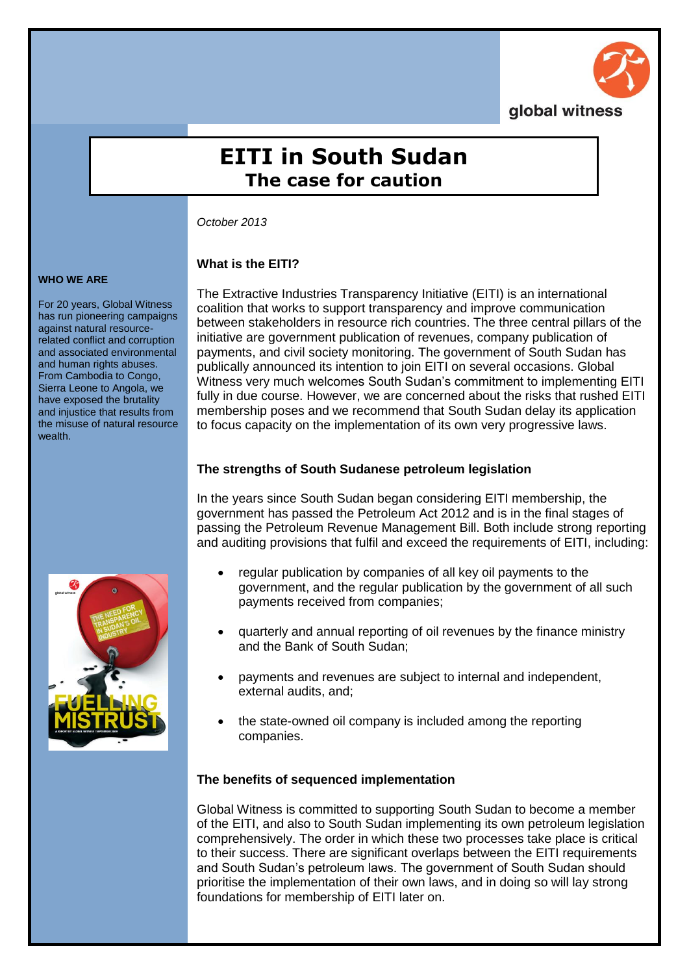

# **EITI in South Sudan The case for caution**

*October 2013*

## **What is the EITI?**

#### **WHO WE ARE**

For 20 years, Global Witness has run pioneering campaigns against natural resourcerelated conflict and corruption and associated environmental and human rights abuses. From Cambodia to Congo, Sierra Leone to Angola, we have exposed the brutality and injustice that results from the misuse of natural resource wealth.

The Extractive Industries Transparency Initiative (EITI) is an international coalition that works to support transparency and improve communication between stakeholders in resource rich countries. The three central pillars of the initiative are government publication of revenues, company publication of payments, and civil society monitoring. The government of South Sudan has publically announced its intention to join EITI on several occasions. Global Witness very much welcomes South Sudan's commitment to implementing EITI fully in due course. However, we are concerned about the risks that rushed EITI membership poses and we recommend that South Sudan delay its application to focus capacity on the implementation of its own very progressive laws.

## **The strengths of South Sudanese petroleum legislation**

In the years since South Sudan began considering EITI membership, the government has passed the Petroleum Act 2012 and is in the final stages of passing the Petroleum Revenue Management Bill. Both include strong reporting and auditing provisions that fulfil and exceed the requirements of EITI, including:

- regular publication by companies of all key oil payments to the government, and the regular publication by the government of all such payments received from companies;
- quarterly and annual reporting of oil revenues by the finance ministry and the Bank of South Sudan;
- payments and revenues are subject to internal and independent, external audits, and;
- the state-owned oil company is included among the reporting companies.

#### **The benefits of sequenced implementation**

Global Witness is committed to supporting South Sudan to become a member of the EITI, and also to South Sudan implementing its own petroleum legislation comprehensively. The order in which these two processes take place is critical to their success. There are significant overlaps between the EITI requirements and South Sudan's petroleum laws. The government of South Sudan should prioritise the implementation of their own laws, and in doing so will lay strong foundations for membership of EITI later on.